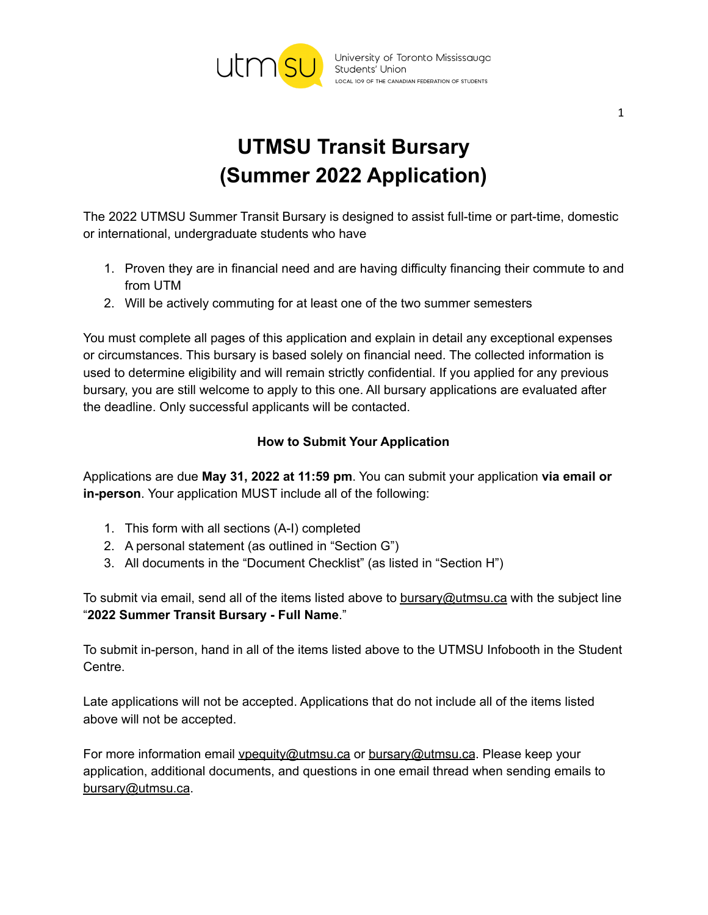

# **UTMSU Transit Bursary (Summer 2022 Application)**

The 2022 UTMSU Summer Transit Bursary is designed to assist full-time or part-time, domestic or international, undergraduate students who have

- 1. Proven they are in financial need and are having difficulty financing their commute to and from UTM
- 2. Will be actively commuting for at least one of the two summer semesters

You must complete all pages of this application and explain in detail any exceptional expenses or circumstances. This bursary is based solely on financial need. The collected information is used to determine eligibility and will remain strictly confidential. If you applied for any previous bursary, you are still welcome to apply to this one. All bursary applications are evaluated after the deadline. Only successful applicants will be contacted.

## **How to Submit Your Application**

Applications are due **May 31, 2022 at 11:59 pm**. You can submit your application **via email or in-person**. Your application MUST include all of the following:

- 1. This form with all sections (A-I) completed
- 2. A personal statement (as outlined in "Section G")
- 3. All documents in the "Document Checklist" (as listed in "Section H")

To submit via email, send all of the items listed above to [bursary@utmsu.ca](mailto:bursary@utmsu.ca) with the subject line "**2022 Summer Transit Bursary - Full Name**."

To submit in-person, hand in all of the items listed above to the UTMSU Infobooth in the Student Centre.

Late applications will not be accepted. Applications that do not include all of the items listed above will not be accepted.

For more information email *[vpequity@utmsu.ca](mailto:vpequity@utmsu.ca)* or [bursary@utmsu.ca](mailto:bursary@utmsu.ca). Please keep your application, additional documents, and questions in one email thread when sending emails to [bursary@utmsu.ca](mailto:bursary@utmsu.ca).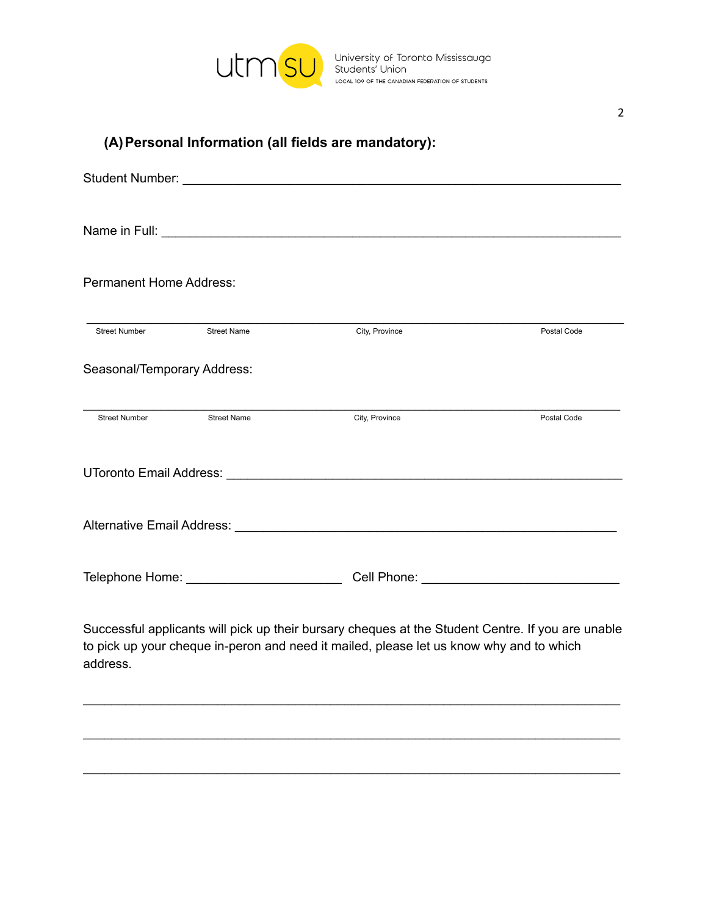

|  | (A) Personal Information (all fields are mandatory): |  |  |
|--|------------------------------------------------------|--|--|
|  |                                                      |  |  |

| <b>Permanent Home Address:</b>                                                                                                                                                                           |                    |                |             |  |  |
|----------------------------------------------------------------------------------------------------------------------------------------------------------------------------------------------------------|--------------------|----------------|-------------|--|--|
| <b>Street Number</b>                                                                                                                                                                                     | <b>Street Name</b> | City, Province | Postal Code |  |  |
| Seasonal/Temporary Address:                                                                                                                                                                              |                    |                |             |  |  |
| <b>Street Number</b>                                                                                                                                                                                     | <b>Street Name</b> | City, Province | Postal Code |  |  |
|                                                                                                                                                                                                          |                    |                |             |  |  |
|                                                                                                                                                                                                          |                    |                |             |  |  |
|                                                                                                                                                                                                          |                    |                |             |  |  |
| Successful applicants will pick up their bursary cheques at the Student Centre. If you are unable<br>to pick up your cheque in-peron and need it mailed, please let us know why and to which<br>address. |                    |                |             |  |  |

\_\_\_\_\_\_\_\_\_\_\_\_\_\_\_\_\_\_\_\_\_\_\_\_\_\_\_\_\_\_\_\_\_\_\_\_\_\_\_\_\_\_\_\_\_\_\_\_\_\_\_\_\_\_\_\_\_\_\_\_\_\_\_\_\_\_\_\_\_\_\_\_\_\_\_\_

\_\_\_\_\_\_\_\_\_\_\_\_\_\_\_\_\_\_\_\_\_\_\_\_\_\_\_\_\_\_\_\_\_\_\_\_\_\_\_\_\_\_\_\_\_\_\_\_\_\_\_\_\_\_\_\_\_\_\_\_\_\_\_\_\_\_\_\_\_\_\_\_\_\_\_\_

\_\_\_\_\_\_\_\_\_\_\_\_\_\_\_\_\_\_\_\_\_\_\_\_\_\_\_\_\_\_\_\_\_\_\_\_\_\_\_\_\_\_\_\_\_\_\_\_\_\_\_\_\_\_\_\_\_\_\_\_\_\_\_\_\_\_\_\_\_\_\_\_\_\_\_\_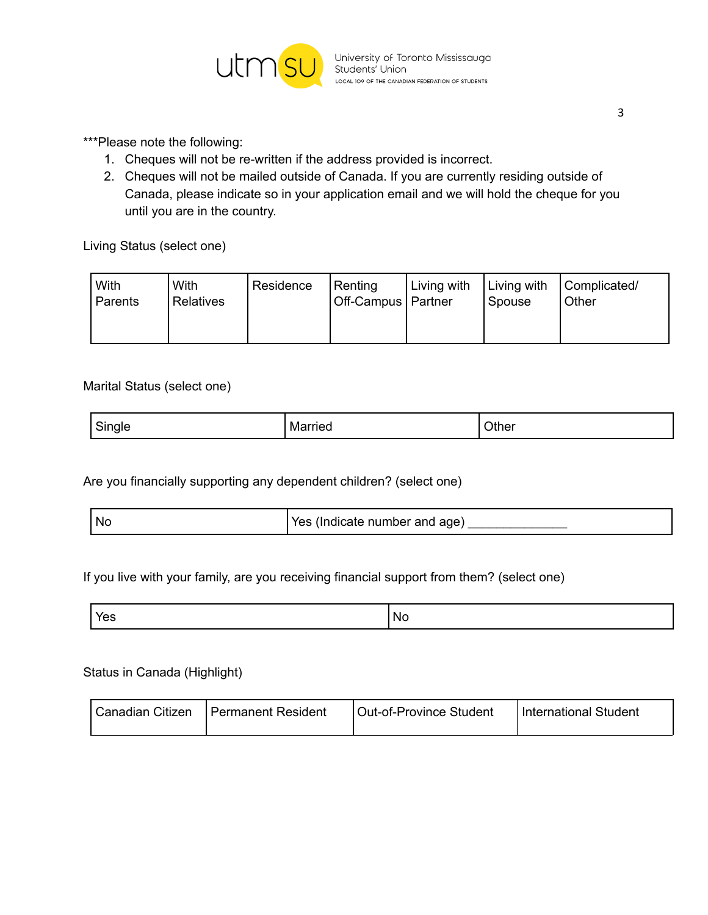

- 1. Cheques will not be re-written if the address provided is incorrect.
- 2. Cheques will not be mailed outside of Canada. If you are currently residing outside of Canada, please indicate so in your application email and we will hold the cheque for you until you are in the country.

Living Status (select one)

| With<br>Parents | With<br><b>Relatives</b> | Residence | Renting<br>Off-Campus   Partner | Living with | Living with<br>Spouse | Complicated/<br>Other |
|-----------------|--------------------------|-----------|---------------------------------|-------------|-----------------------|-----------------------|
|                 |                          |           |                                 |             |                       |                       |

#### Marital Status (select one)

| <sup>I</sup> Single<br>ີ | ------<br>Married<br>. . <del>.</del> . | <b>Other</b> |
|--------------------------|-----------------------------------------|--------------|
|--------------------------|-----------------------------------------|--------------|

Are you financially supporting any dependent children? (select one)

| <b>Nc</b> | المناسبة المنا<br>(Indicate number and age)<br>Yes. |
|-----------|-----------------------------------------------------|
|-----------|-----------------------------------------------------|

#### If you live with your family, are you receiving financial support from them? (select one)

| Nŀ<br>-<br>$-$<br>$ -$ |  |
|------------------------|--|
|------------------------|--|

#### Status in Canada (Highlight)

| Canadian Citizen | l Permanent Resident | Out-of-Province Student | International Student |
|------------------|----------------------|-------------------------|-----------------------|
|------------------|----------------------|-------------------------|-----------------------|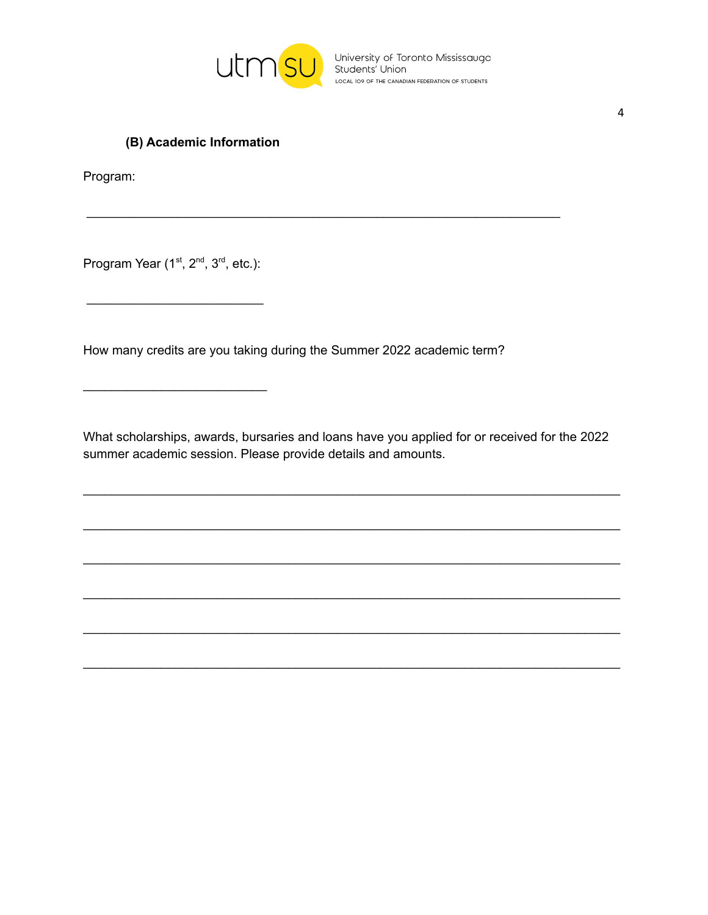

University of Toronto Mississauga<br>Students' Union LOCAL 109 OF THE CANADIAN FEDERATION OF STUDENTS

## (B) Academic Information

Program:

Program Year (1<sup>st</sup>, 2<sup>nd</sup>, 3<sup>rd</sup>, etc.):

How many credits are you taking during the Summer 2022 academic term?

What scholarships, awards, bursaries and loans have you applied for or received for the 2022 summer academic session. Please provide details and amounts.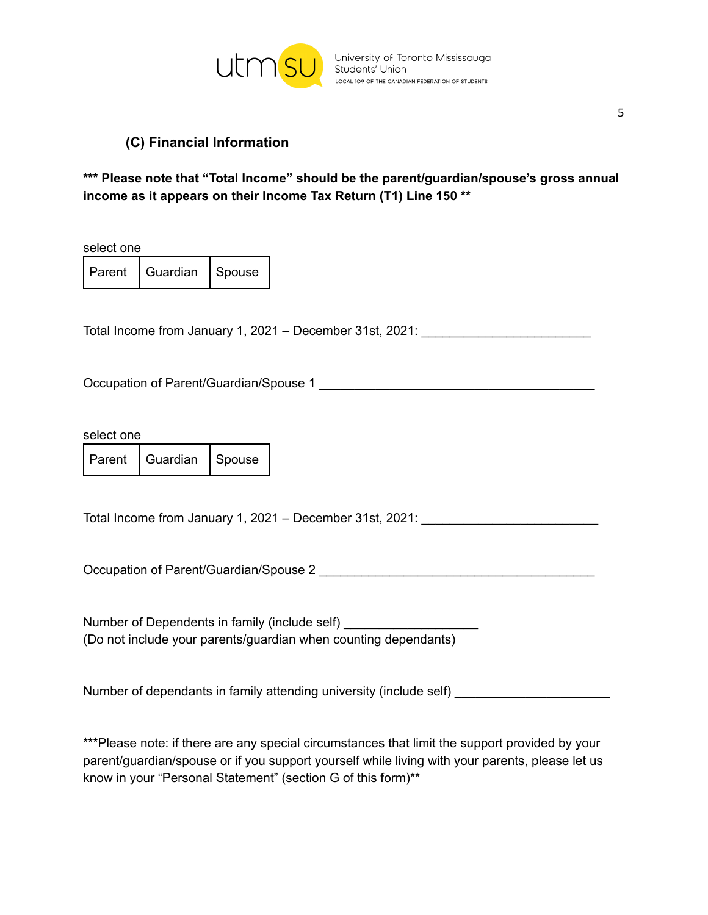

## **(C) Financial Information**

### **\*\*\* Please note that "Total Income" should be the parent/guardian/spouse's gross annual income as it appears on their Income Tax Return (T1) Line 150 \*\***

select one

Parent | Guardian | Spouse

Total Income from January 1, 2021 – December 31st, 2021:

Occupation of Parent/Guardian/Spouse 1

select one

Parent | Guardian | Spouse

Total Income from January 1, 2021 – December 31st, 2021: \_\_\_\_\_\_\_\_\_\_\_\_\_\_\_\_\_\_\_\_\_\_\_\_\_

Occupation of Parent/Guardian/Spouse 2

Number of Dependents in family (include self) \_\_\_\_\_\_ (Do not include your parents/guardian when counting dependants)

Number of dependants in family attending university (include self)

\*\*\*Please note: if there are any special circumstances that limit the support provided by your parent/guardian/spouse or if you support yourself while living with your parents, please let us know in your "Personal Statement" (section G of this form)\*\*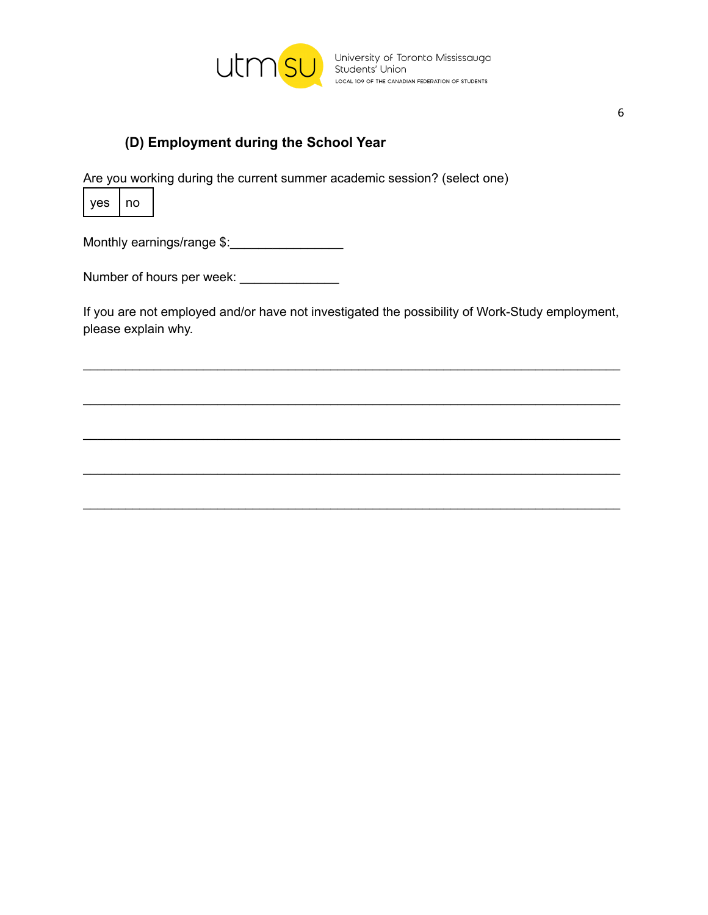

# **(D) Employment during the School Year**

Are you working during the current summer academic session? (select one)



Monthly earnings/range \$:\_\_\_\_\_\_\_\_\_\_\_\_\_\_\_\_

Number of hours per week: \_\_\_\_\_\_\_\_\_\_\_\_\_\_

If you are not employed and/or have not investigated the possibility of Work-Study employment, please explain why.

\_\_\_\_\_\_\_\_\_\_\_\_\_\_\_\_\_\_\_\_\_\_\_\_\_\_\_\_\_\_\_\_\_\_\_\_\_\_\_\_\_\_\_\_\_\_\_\_\_\_\_\_\_\_\_\_\_\_\_\_\_\_\_\_\_\_\_\_\_\_\_\_\_\_\_\_

\_\_\_\_\_\_\_\_\_\_\_\_\_\_\_\_\_\_\_\_\_\_\_\_\_\_\_\_\_\_\_\_\_\_\_\_\_\_\_\_\_\_\_\_\_\_\_\_\_\_\_\_\_\_\_\_\_\_\_\_\_\_\_\_\_\_\_\_\_\_\_\_\_\_\_\_

\_\_\_\_\_\_\_\_\_\_\_\_\_\_\_\_\_\_\_\_\_\_\_\_\_\_\_\_\_\_\_\_\_\_\_\_\_\_\_\_\_\_\_\_\_\_\_\_\_\_\_\_\_\_\_\_\_\_\_\_\_\_\_\_\_\_\_\_\_\_\_\_\_\_\_\_

\_\_\_\_\_\_\_\_\_\_\_\_\_\_\_\_\_\_\_\_\_\_\_\_\_\_\_\_\_\_\_\_\_\_\_\_\_\_\_\_\_\_\_\_\_\_\_\_\_\_\_\_\_\_\_\_\_\_\_\_\_\_\_\_\_\_\_\_\_\_\_\_\_\_\_\_

\_\_\_\_\_\_\_\_\_\_\_\_\_\_\_\_\_\_\_\_\_\_\_\_\_\_\_\_\_\_\_\_\_\_\_\_\_\_\_\_\_\_\_\_\_\_\_\_\_\_\_\_\_\_\_\_\_\_\_\_\_\_\_\_\_\_\_\_\_\_\_\_\_\_\_\_

6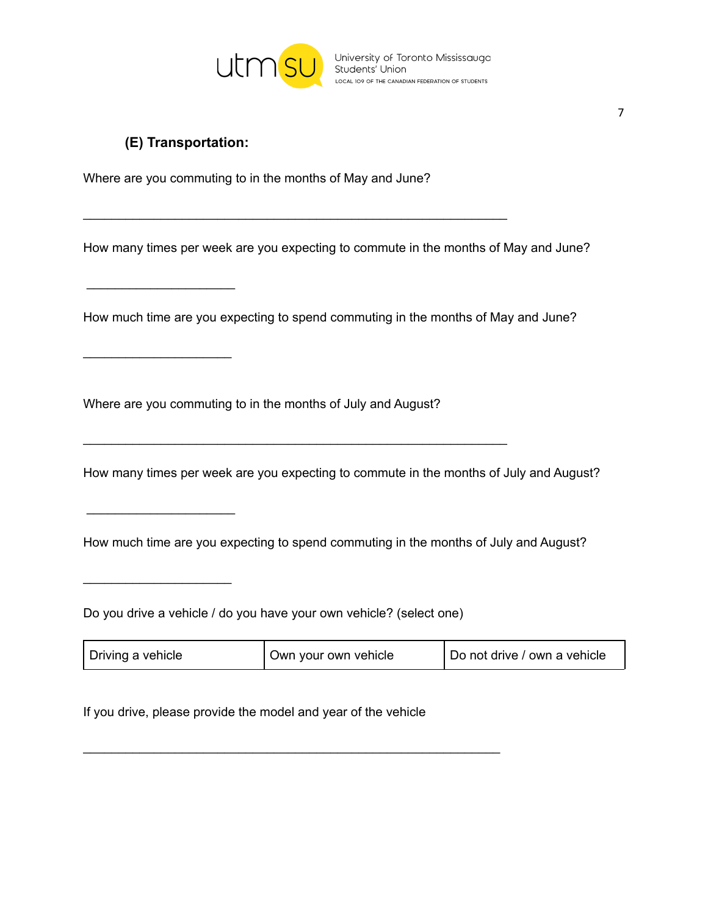

# **(E) Transportation:**

 $\overline{\phantom{a}}$  , which is a set of the set of the set of the set of the set of the set of the set of the set of the set of the set of the set of the set of the set of the set of the set of the set of the set of the set of th

 $\overline{\phantom{a}}$  , which is a set of the set of the set of the set of the set of the set of the set of the set of the set of the set of the set of the set of the set of the set of the set of the set of the set of the set of th

 $\overline{\phantom{a}}$  , which is a set of the set of the set of the set of the set of the set of the set of the set of the set of the set of the set of the set of the set of the set of the set of the set of the set of the set of th

 $\overline{\phantom{a}}$  , which is a set of the set of the set of the set of the set of the set of the set of the set of the set of the set of the set of the set of the set of the set of the set of the set of the set of the set of th

Where are you commuting to in the months of May and June?

\_\_\_\_\_\_\_\_\_\_\_\_\_\_\_\_\_\_\_\_\_\_\_\_\_\_\_\_\_\_\_\_\_\_\_\_\_\_\_\_\_\_\_\_\_\_\_\_\_\_\_\_\_\_\_\_\_\_\_\_

How many times per week are you expecting to commute in the months of May and June?

How much time are you expecting to spend commuting in the months of May and June?

Where are you commuting to in the months of July and August?

\_\_\_\_\_\_\_\_\_\_\_\_\_\_\_\_\_\_\_\_\_\_\_\_\_\_\_\_\_\_\_\_\_\_\_\_\_\_\_\_\_\_\_\_\_\_\_\_\_\_\_\_\_\_\_\_\_\_\_\_

How many times per week are you expecting to commute in the months of July and August?

How much time are you expecting to spend commuting in the months of July and August?

Do you drive a vehicle / do you have your own vehicle? (select one)

| <sup>I</sup> Driving a vehicle | Own your own vehicle | Do not drive / own a vehicle |
|--------------------------------|----------------------|------------------------------|
|--------------------------------|----------------------|------------------------------|

If you drive, please provide the model and year of the vehicle

\_\_\_\_\_\_\_\_\_\_\_\_\_\_\_\_\_\_\_\_\_\_\_\_\_\_\_\_\_\_\_\_\_\_\_\_\_\_\_\_\_\_\_\_\_\_\_\_\_\_\_\_\_\_\_\_\_\_\_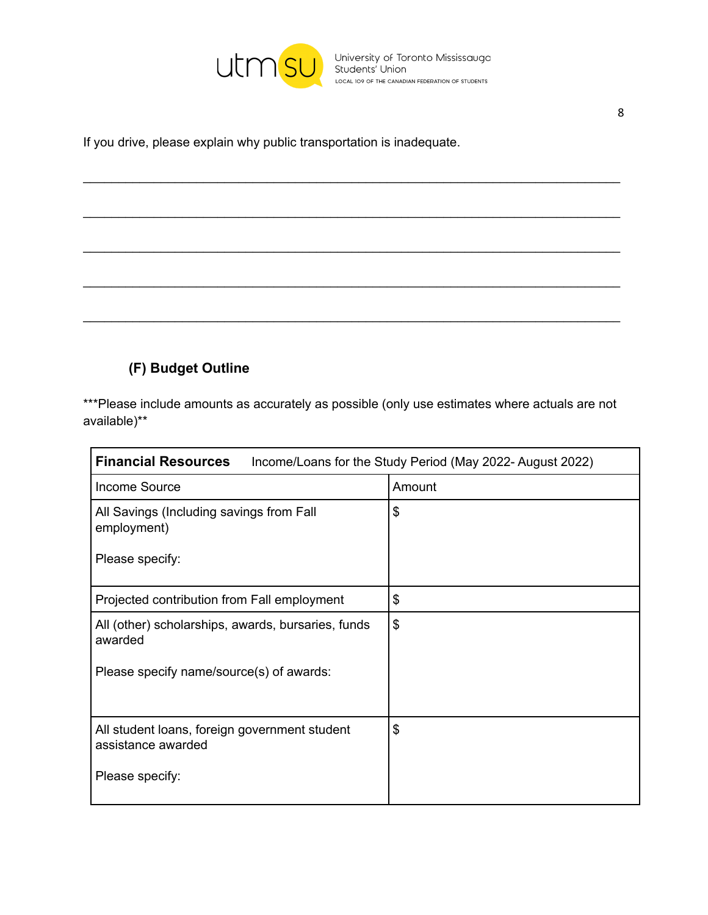

If you drive, please explain why public transportation is inadequate.

# **(F) Budget Outline**

\*\*\*Please include amounts as accurately as possible (only use estimates where actuals are not available)\*\*

\_\_\_\_\_\_\_\_\_\_\_\_\_\_\_\_\_\_\_\_\_\_\_\_\_\_\_\_\_\_\_\_\_\_\_\_\_\_\_\_\_\_\_\_\_\_\_\_\_\_\_\_\_\_\_\_\_\_\_\_\_\_\_\_\_\_\_\_\_\_\_\_\_\_\_\_

\_\_\_\_\_\_\_\_\_\_\_\_\_\_\_\_\_\_\_\_\_\_\_\_\_\_\_\_\_\_\_\_\_\_\_\_\_\_\_\_\_\_\_\_\_\_\_\_\_\_\_\_\_\_\_\_\_\_\_\_\_\_\_\_\_\_\_\_\_\_\_\_\_\_\_\_

\_\_\_\_\_\_\_\_\_\_\_\_\_\_\_\_\_\_\_\_\_\_\_\_\_\_\_\_\_\_\_\_\_\_\_\_\_\_\_\_\_\_\_\_\_\_\_\_\_\_\_\_\_\_\_\_\_\_\_\_\_\_\_\_\_\_\_\_\_\_\_\_\_\_\_\_

\_\_\_\_\_\_\_\_\_\_\_\_\_\_\_\_\_\_\_\_\_\_\_\_\_\_\_\_\_\_\_\_\_\_\_\_\_\_\_\_\_\_\_\_\_\_\_\_\_\_\_\_\_\_\_\_\_\_\_\_\_\_\_\_\_\_\_\_\_\_\_\_\_\_\_\_

\_\_\_\_\_\_\_\_\_\_\_\_\_\_\_\_\_\_\_\_\_\_\_\_\_\_\_\_\_\_\_\_\_\_\_\_\_\_\_\_\_\_\_\_\_\_\_\_\_\_\_\_\_\_\_\_\_\_\_\_\_\_\_\_\_\_\_\_\_\_\_\_\_\_\_\_

| <b>Financial Resources</b>                                          | Income/Loans for the Study Period (May 2022-August 2022) |
|---------------------------------------------------------------------|----------------------------------------------------------|
| Income Source                                                       | Amount                                                   |
| All Savings (Including savings from Fall<br>employment)             | \$                                                       |
| Please specify:                                                     |                                                          |
| Projected contribution from Fall employment                         | \$                                                       |
| All (other) scholarships, awards, bursaries, funds<br>awarded       | \$                                                       |
| Please specify name/source(s) of awards:                            |                                                          |
| All student loans, foreign government student<br>assistance awarded | \$                                                       |
| Please specify:                                                     |                                                          |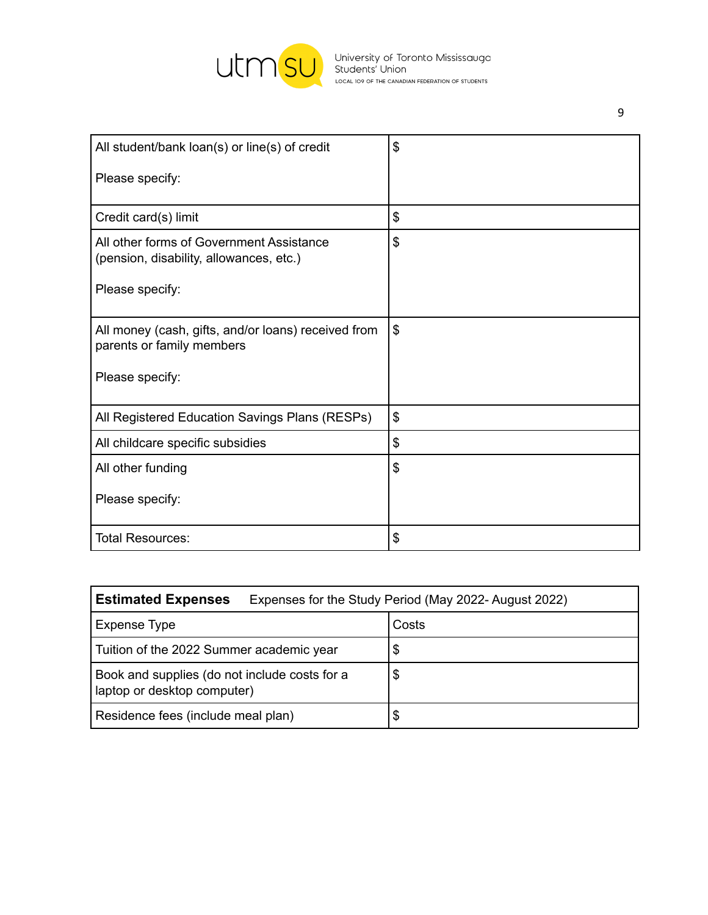

| All student/bank loan(s) or line(s) of credit                                       | \$                        |
|-------------------------------------------------------------------------------------|---------------------------|
| Please specify:                                                                     |                           |
|                                                                                     |                           |
| Credit card(s) limit                                                                | \$                        |
| All other forms of Government Assistance<br>(pension, disability, allowances, etc.) | $\mathfrak{S}$            |
| Please specify:                                                                     |                           |
| All money (cash, gifts, and/or loans) received from<br>parents or family members    | $\boldsymbol{\mathsf{S}}$ |
| Please specify:                                                                     |                           |
| All Registered Education Savings Plans (RESPs)                                      | $\mathfrak{L}$            |
| All childcare specific subsidies                                                    | \$                        |
| All other funding                                                                   | \$                        |
| Please specify:                                                                     |                           |
| <b>Total Resources:</b>                                                             | \$                        |

| <b>Estimated Expenses</b>                                                    | Expenses for the Study Period (May 2022-August 2022) |
|------------------------------------------------------------------------------|------------------------------------------------------|
| Expense Type                                                                 | Costs                                                |
| Tuition of the 2022 Summer academic year                                     | \$                                                   |
| Book and supplies (do not include costs for a<br>laptop or desktop computer) | \$                                                   |
| Residence fees (include meal plan)                                           | \$                                                   |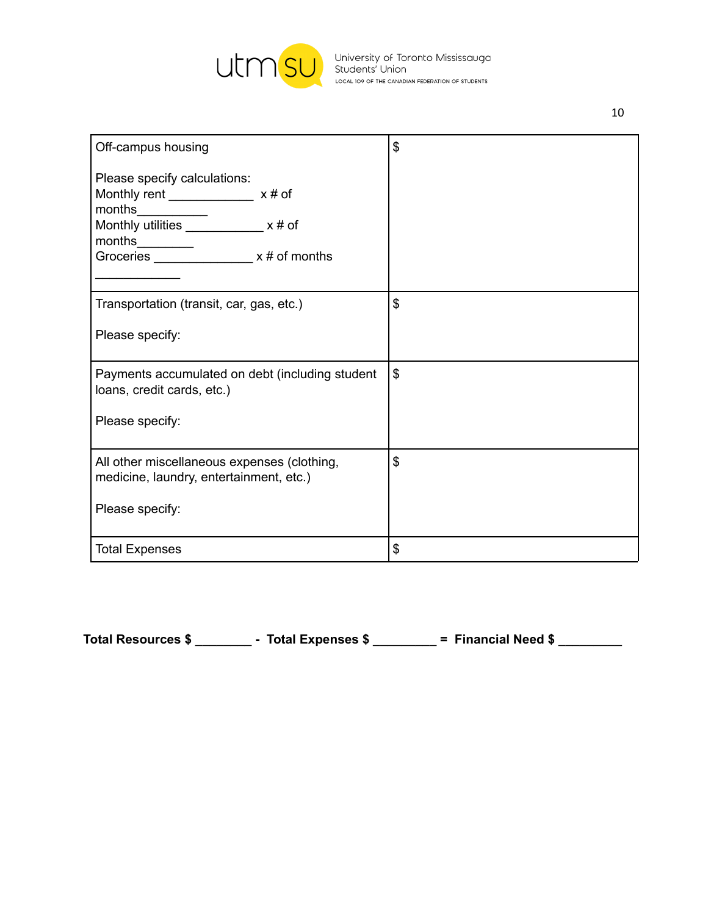

University of Toronto Mississauga<br>Students' Union<br>LOCAL 109 OF THE CANADIAN FEDERATION OF STUDENTS

| Off-campus housing                              | \$            |
|-------------------------------------------------|---------------|
|                                                 |               |
| Please specify calculations:                    |               |
| Monthly rent ______________ x # of              |               |
| months                                          |               |
| Monthly utilities ____________ x # of           |               |
| months________                                  |               |
| Groceries _________________ x # of months       |               |
|                                                 |               |
| Transportation (transit, car, gas, etc.)        | \$            |
|                                                 |               |
| Please specify:                                 |               |
|                                                 |               |
| Payments accumulated on debt (including student | $\mathcal{L}$ |
| loans, credit cards, etc.)                      |               |
|                                                 |               |
| Please specify:                                 |               |
|                                                 |               |
| All other miscellaneous expenses (clothing,     | \$            |
| medicine, laundry, entertainment, etc.)         |               |
|                                                 |               |
| Please specify:                                 |               |
|                                                 |               |
| <b>Total Expenses</b>                           | \$            |
|                                                 |               |

**Total Resources \$ \_\_\_\_\_\_\_\_ - Total Expenses \$ \_\_\_\_\_\_\_\_\_ = Financial Need \$ \_\_\_\_\_\_\_\_\_**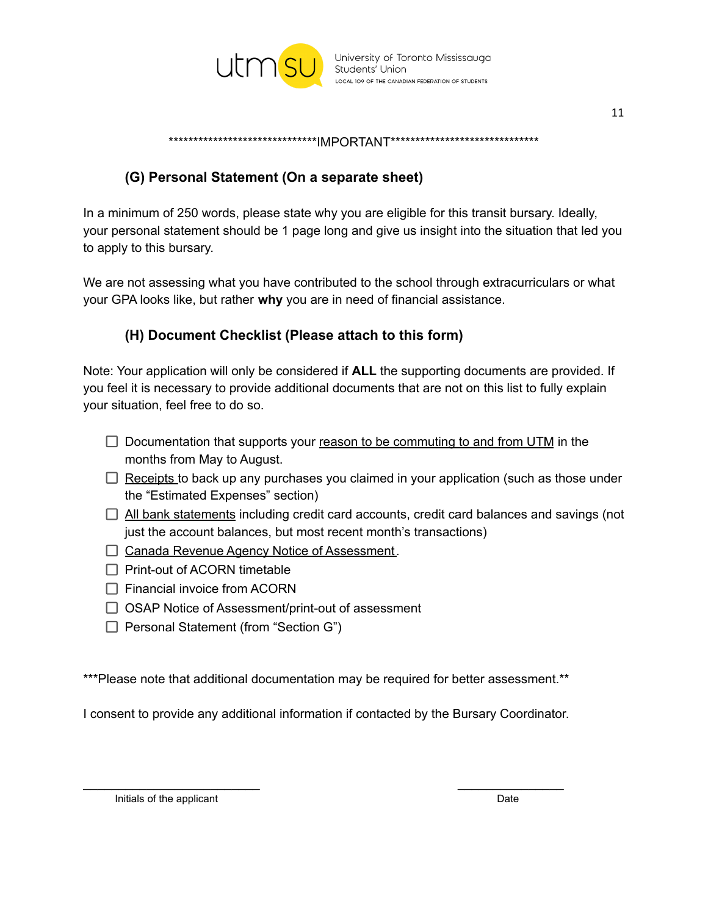

11

\*\*\*\*\*\*\*\*\*\*\*\*\*\*\*\*\*\*\*\*\*\*\*\*\*\*\*\*\*\*IMPORTANT\*\*\*\*\*\*\*\*\*\*\*\*\*\*\*\*\*\*\*\*\*\*\*\*\*\*\*\*

# **(G) Personal Statement (On a separate sheet)**

In a minimum of 250 words, please state why you are eligible for this transit bursary. Ideally, your personal statement should be 1 page long and give us insight into the situation that led you to apply to this bursary.

We are not assessing what you have contributed to the school through extracurriculars or what your GPA looks like, but rather **why** you are in need of financial assistance.

## **(H) Document Checklist (Please attach to this form)**

Note: Your application will only be considered if **ALL** the supporting documents are provided. If you feel it is necessary to provide additional documents that are not on this list to fully explain your situation, feel free to do so.

- $\Box$  Documentation that supports your reason to be commuting to and from UTM in the months from May to August.
- $\Box$  Receipts to back up any purchases you claimed in your application (such as those under the "Estimated Expenses" section)
- $\Box$  All bank statements including credit card accounts, credit card balances and savings (not just the account balances, but most recent month's transactions)
- □ Canada Revenue Agency Notice of Assessment.
- $\Box$  Print-out of ACORN timetable
- $\Box$  Financial invoice from ACORN
- $\Box$  OSAP Notice of Assessment/print-out of assessment
- $\Box$  Personal Statement (from "Section G")

\*\*\*Please note that additional documentation may be required for better assessment.\*\*

I consent to provide any additional information if contacted by the Bursary Coordinator.

 $\overline{\phantom{a}}$  , and the contract of the contract of the contract of the contract of the contract of the contract of the contract of the contract of the contract of the contract of the contract of the contract of the contrac

Initials of the applicant **Date**